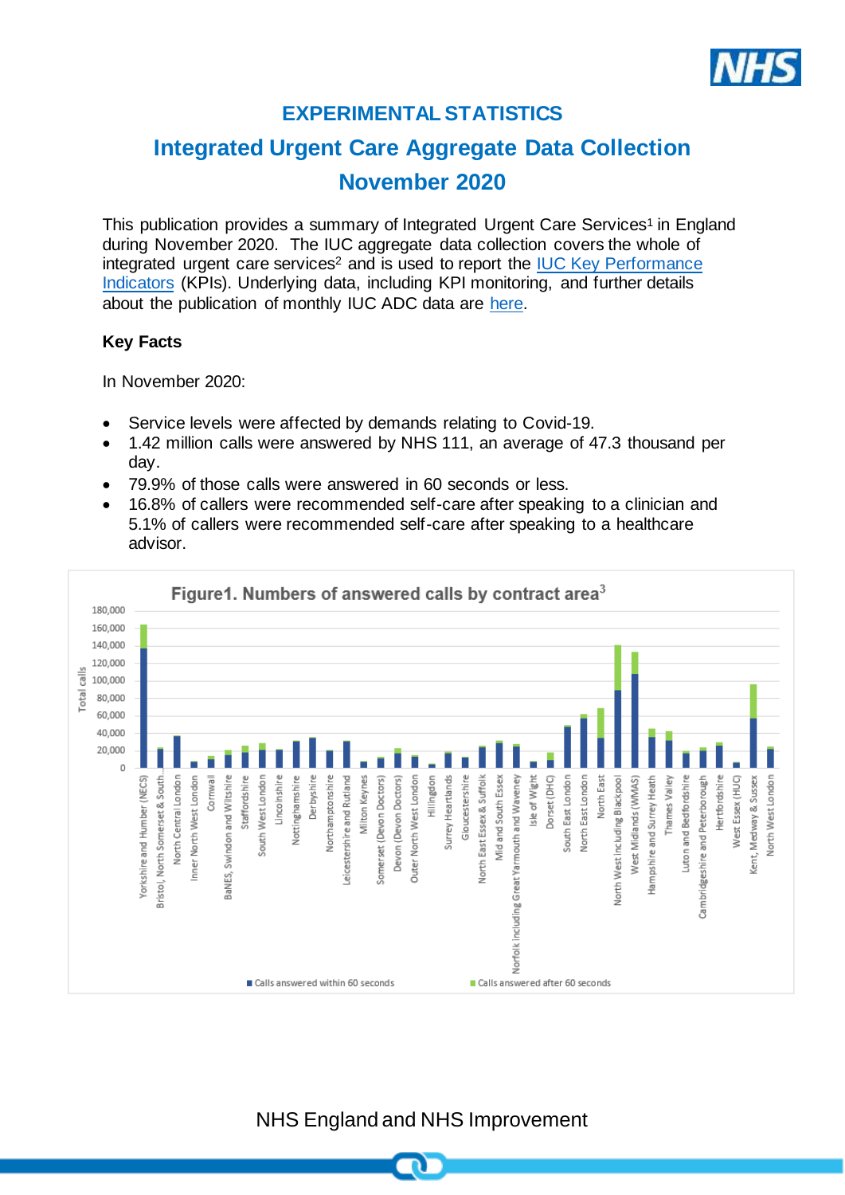

# **EXPERIMENTAL STATISTICS**

# **Integrated Urgent Care Aggregate Data Collection November 2020**

This publication provides a summary of Integrated Urgent Care Services<sup>1</sup> in England during November 2020. The IUC aggregate data collection covers the whole of integrated urgent care services<sup>2</sup> and is used to report the IUC Key Performance [Indicators](https://www.england.nhs.uk/publication/integrated-urgent-care-key-performance-indicators-and-quality-standards-2018/) (KPIs). Underlying data, including KPI monitoring, and further details about the publication of monthly IUC ADC data are [here.](https://www.england.nhs.uk/statistics/statistical-work-areas/nhs-111-minimum-data-set/integrated-urgent-care-aggregate-data-collection-iuc-adc/)

## **Key Facts**

In November 2020:

- Service levels were affected by demands relating to Covid-19.
- 1.42 million calls were answered by NHS 111, an average of 47.3 thousand per day.
- 79.9% of those calls were answered in 60 seconds or less.
- 16.8% of callers were recommended self-care after speaking to a clinician and 5.1% of callers were recommended self-care after speaking to a healthcare advisor.



NHS England and NHS Improvement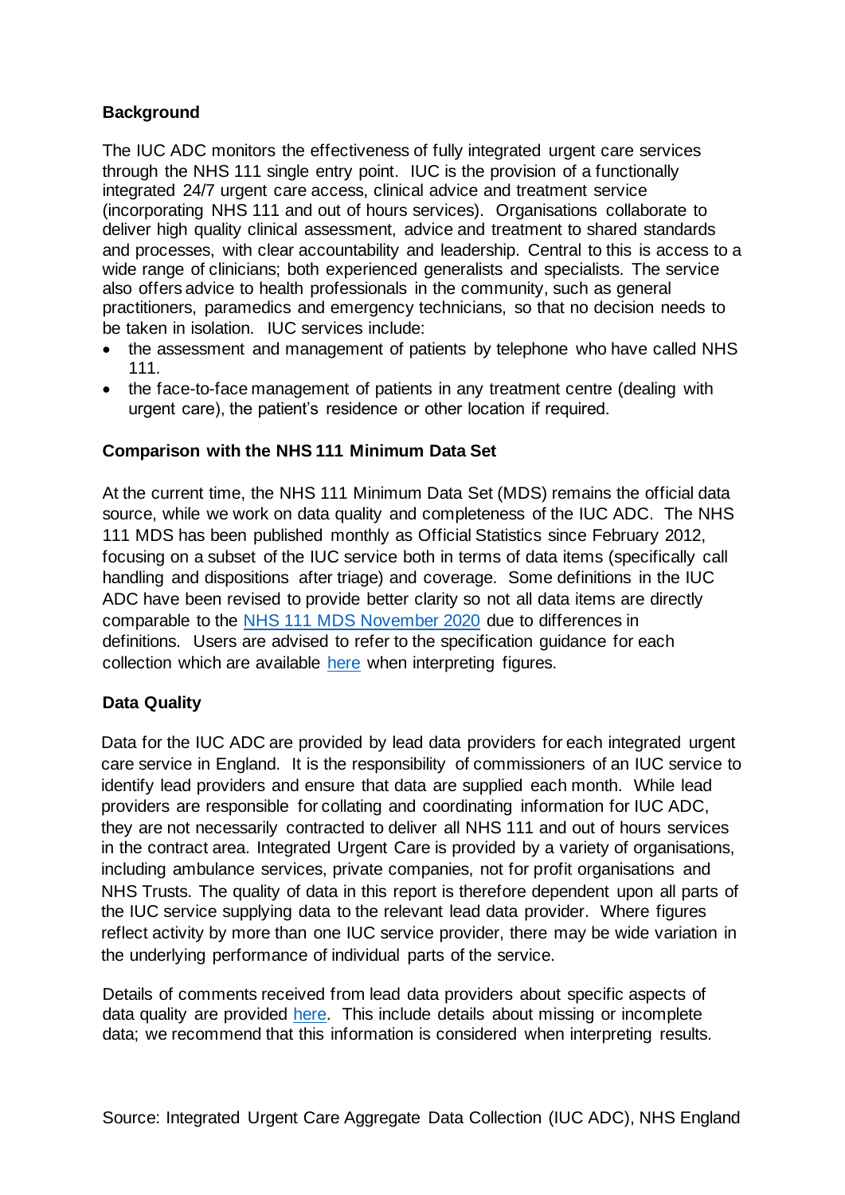#### **Background**

The IUC ADC monitors the effectiveness of fully integrated urgent care services through the NHS 111 single entry point. IUC is the provision of a functionally integrated 24/7 urgent care access, clinical advice and treatment service (incorporating NHS 111 and out of hours services). Organisations collaborate to deliver high quality clinical assessment, advice and treatment to shared standards and processes, with clear accountability and leadership. Central to this is access to a wide range of clinicians; both experienced generalists and specialists. The service also offers advice to health professionals in the community, such as general practitioners, paramedics and emergency technicians, so that no decision needs to be taken in isolation. IUC services include:

- the assessment and management of patients by telephone who have called NHS 111.
- the face-to-face management of patients in any treatment centre (dealing with urgent care), the patient's residence or other location if required.

## **Comparison with the NHS 111 Minimum Data Set**

At the current time, the NHS 111 Minimum Data Set (MDS) remains the official data source, while we work on data quality and completeness of the IUC ADC. The NHS 111 MDS has been published monthly as Official Statistics since February 2012, focusing on a subset of the IUC service both in terms of data items (specifically call handling and dispositions after triage) and coverage. Some definitions in the IUC ADC have been revised to provide better clarity so not all data items are directly comparable to the [NHS 111 MDS November](https://www.england.nhs.uk/statistics/wp-content/uploads/sites/2/2020/12/NHS-111-MDS-Dec-2020-Statistical-Note.pdf) 2020 due to differences in definitions. Users are advised to refer to the specification guidance for each collection which are available [here](https://www.england.nhs.uk/statistics/statistical-work-areas/nhs-111-minimum-data-set/integrated-urgent-care-aggregate-data-collection-iuc-adc/) when interpreting figures.

# **Data Quality**

Data for the IUC ADC are provided by lead data providers for each integrated urgent care service in England. It is the responsibility of commissioners of an IUC service to identify lead providers and ensure that data are supplied each month. While lead providers are responsible for collating and coordinating information for IUC ADC, they are not necessarily contracted to deliver all NHS 111 and out of hours services in the contract area. Integrated Urgent Care is provided by a variety of organisations, including ambulance services, private companies, not for profit organisations and NHS Trusts. The quality of data in this report is therefore dependent upon all parts of the IUC service supplying data to the relevant lead data provider. Where figures reflect activity by more than one IUC service provider, there may be wide variation in the underlying performance of individual parts of the service.

Details of comments received from lead data providers about specific aspects of data quality are provided [here.](https://www.england.nhs.uk/statistics/statistical-work-areas/nhs-111-minimum-data-set/integrated-urgent-care-aggregate-data-collection-iuc-adc/) This include details about missing or incomplete data; we recommend that this information is considered when interpreting results.